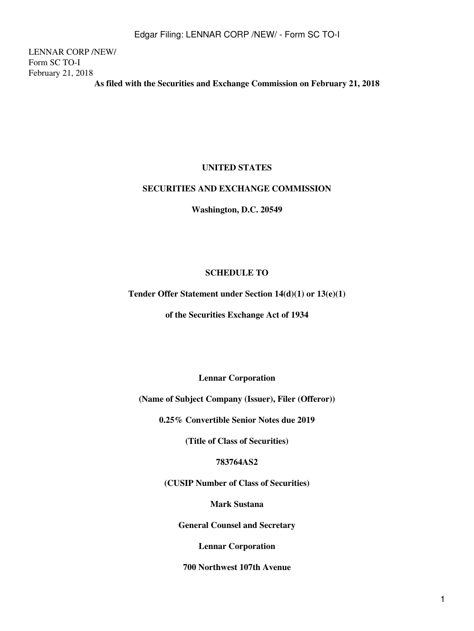LENNAR CORP /NEW/ Form SC TO-I February 21, 2018

**As filed with the Securities and Exchange Commission on February 21, 2018**

#### **UNITED STATES**

#### **SECURITIES AND EXCHANGE COMMISSION**

**Washington, D.C. 20549**

#### **SCHEDULE TO**

**Tender Offer Statement under Section 14(d)(1) or 13(e)(1)**

**of the Securities Exchange Act of 1934**

**Lennar Corporation**

**(Name of Subject Company (Issuer), Filer (Offeror))**

**0.25% Convertible Senior Notes due 2019**

**(Title of Class of Securities)**

#### **783764AS2**

**(CUSIP Number of Class of Securities)**

**Mark Sustana**

**General Counsel and Secretary**

**Lennar Corporation**

**700 Northwest 107th Avenue**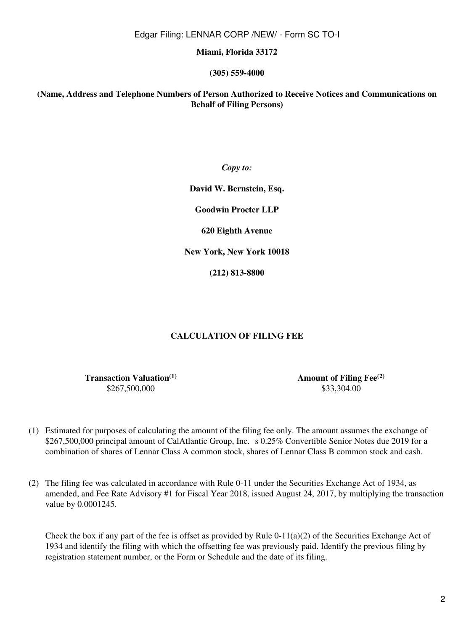Edgar Filing: LENNAR CORP /NEW/ - Form SC TO-I

**Miami, Florida 33172**

**(305) 559-4000**

**(Name, Address and Telephone Numbers of Person Authorized to Receive Notices and Communications on Behalf of Filing Persons)**

*Copy to:*

**David W. Bernstein, Esq.**

**Goodwin Procter LLP**

**620 Eighth Avenue**

**New York, New York 10018**

**(212) 813-8800**

### **CALCULATION OF FILING FEE**

**Transaction Valuation(1) Amount of Filing Fee(2)** \$267,500,000 \$33,304.00

- (1) Estimated for purposes of calculating the amount of the filing fee only. The amount assumes the exchange of \$267,500,000 principal amount of CalAtlantic Group, Inc. s 0.25% Convertible Senior Notes due 2019 for a combination of shares of Lennar Class A common stock, shares of Lennar Class B common stock and cash.
- (2) The filing fee was calculated in accordance with Rule 0-11 under the Securities Exchange Act of 1934, as amended, and Fee Rate Advisory #1 for Fiscal Year 2018, issued August 24, 2017, by multiplying the transaction value by 0.0001245.

Check the box if any part of the fee is offset as provided by Rule  $0-11(a)(2)$  of the Securities Exchange Act of 1934 and identify the filing with which the offsetting fee was previously paid. Identify the previous filing by registration statement number, or the Form or Schedule and the date of its filing.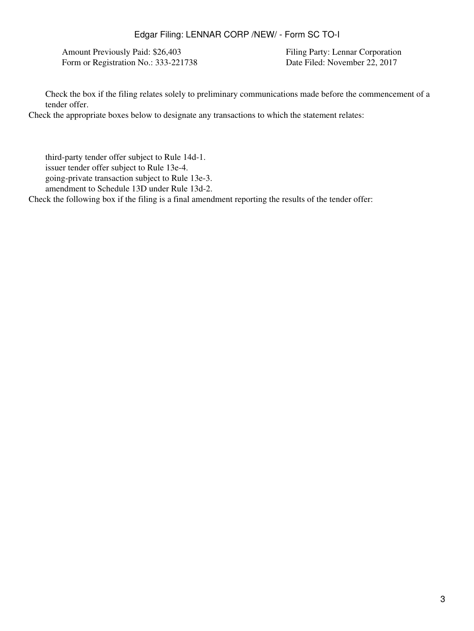### Edgar Filing: LENNAR CORP /NEW/ - Form SC TO-I

Amount Previously Paid: \$26,403 Filing Party: Lennar Corporation Form or Registration No.: 333-221738 Date Filed: November 22, 2017

Check the box if the filing relates solely to preliminary communications made before the commencement of a tender offer.

Check the appropriate boxes below to designate any transactions to which the statement relates:

third-party tender offer subject to Rule 14d-1. issuer tender offer subject to Rule 13e-4. ☐ going-private transaction subject to Rule 13e-3. amendment to Schedule 13D under Rule 13d-2.

Check the following box if the filing is a final amendment reporting the results of the tender offer: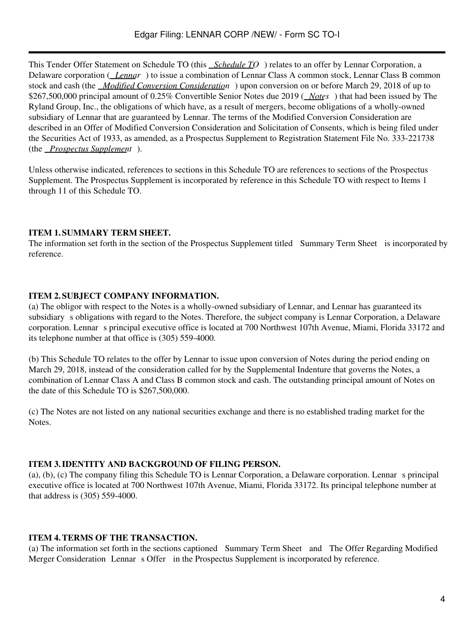This Tender Offer Statement on Schedule TO (this *Schedule TO*) relates to an offer by Lennar Corporation, a Delaware corporation (*Lennar*) to issue a combination of Lennar Class A common stock, Lennar Class B common stock and cash (the *Modified Conversion Consideration*) upon conversion on or before March 29, 2018 of up to \$267,500,000 principal amount of 0.25% Convertible Senior Notes due 2019 (*Notes*) that had been issued by The Ryland Group, Inc., the obligations of which have, as a result of mergers, become obligations of a wholly-owned subsidiary of Lennar that are guaranteed by Lennar. The terms of the Modified Conversion Consideration are described in an Offer of Modified Conversion Consideration and Solicitation of Consents, which is being filed under the Securities Act of 1933, as amended, as a Prospectus Supplement to Registration Statement File No. 333-221738 (the *Prospectus Supplement*).

Unless otherwise indicated, references to sections in this Schedule TO are references to sections of the Prospectus Supplement. The Prospectus Supplement is incorporated by reference in this Schedule TO with respect to Items 1 through 11 of this Schedule TO.

## **ITEM 1.SUMMARY TERM SHEET.**

The information set forth in the section of the Prospectus Supplement titled Summary Term Sheet is incorporated by reference.

## **ITEM 2.SUBJECT COMPANY INFORMATION.**

(a) The obligor with respect to the Notes is a wholly-owned subsidiary of Lennar, and Lennar has guaranteed its subsidiary s obligations with regard to the Notes. Therefore, the subject company is Lennar Corporation, a Delaware corporation. Lennar s principal executive office is located at 700 Northwest 107th Avenue, Miami, Florida 33172 and its telephone number at that office is (305) 559-4000.

(b) This Schedule TO relates to the offer by Lennar to issue upon conversion of Notes during the period ending on March 29, 2018, instead of the consideration called for by the Supplemental Indenture that governs the Notes, a combination of Lennar Class A and Class B common stock and cash. The outstanding principal amount of Notes on the date of this Schedule TO is \$267,500,000.

(c) The Notes are not listed on any national securities exchange and there is no established trading market for the Notes.

### **ITEM 3.IDENTITY AND BACKGROUND OF FILING PERSON.**

(a), (b), (c) The company filing this Schedule TO is Lennar Corporation, a Delaware corporation. Lennars principal executive office is located at 700 Northwest 107th Avenue, Miami, Florida 33172. Its principal telephone number at that address is (305) 559-4000.

## **ITEM 4.TERMS OF THE TRANSACTION.**

(a) The information set forth in the sections captioned Summary Term Sheet and The Offer Regarding Modified Merger Consideration Lennar s Offer in the Prospectus Supplement is incorporated by reference.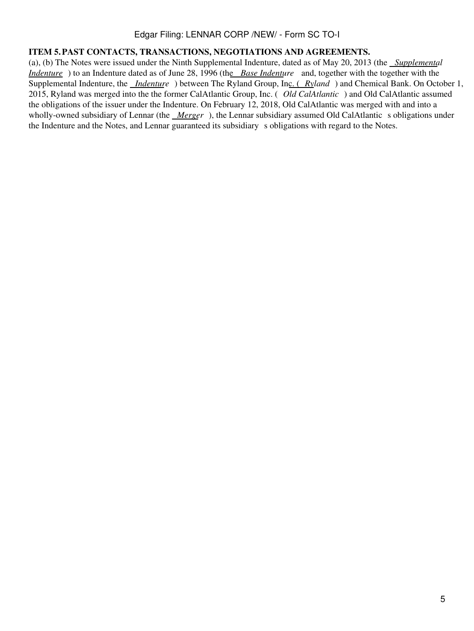### Edgar Filing: LENNAR CORP /NEW/ - Form SC TO-I

#### **ITEM 5.PAST CONTACTS, TRANSACTIONS, NEGOTIATIONS AND AGREEMENTS.**

(a), (b) The Notes were issued under the Ninth Supplemental Indenture, dated as of May 20, 2013 (the *Supplemental Indenture*) to an Indenture dated as of June 28, 1996 (the *Base Indenture* and, together with the together with the Supplemental Indenture, the *Indenture* ) between The Ryland Group, Inc. (*Ryland*) and Chemical Bank. On October 1, 2015, Ryland was merged into the the former CalAtlantic Group, Inc. (*Old CalAtlantic*) and Old CalAtlantic assumed the obligations of the issuer under the Indenture. On February 12, 2018, Old CalAtlantic was merged with and into a wholly-owned subsidiary of Lennar (the *Merger*), the Lennar subsidiary assumed Old CalAtlantic s obligations under the Indenture and the Notes, and Lennar guaranteed its subsidiary s obligations with regard to the Notes.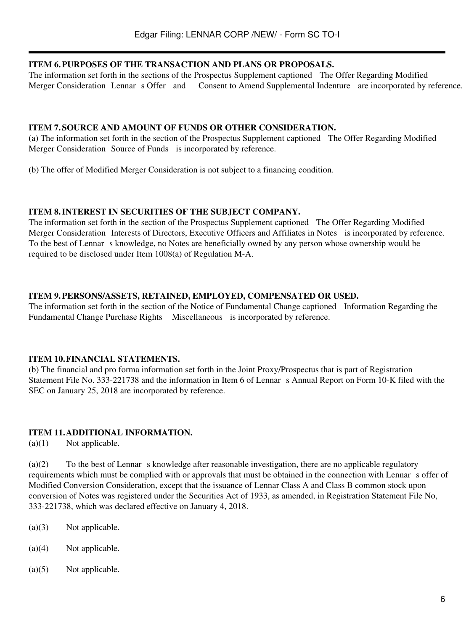### **ITEM 6.PURPOSES OF THE TRANSACTION AND PLANS OR PROPOSALS.**

The information set forth in the sections of the Prospectus Supplement captioned The Offer Regarding Modified Merger Consideration Lennar s Offer and Consent to Amend Supplemental Indenture are incorporated by reference.

#### **ITEM 7.SOURCE AND AMOUNT OF FUNDS OR OTHER CONSIDERATION.**

(a) The information set forth in the section of the Prospectus Supplement captioned The Offer Regarding Modified Merger Consideration Source of Funds is incorporated by reference.

(b) The offer of Modified Merger Consideration is not subject to a financing condition.

#### **ITEM 8.INTEREST IN SECURITIES OF THE SUBJECT COMPANY.**

The information set forth in the section of the Prospectus Supplement captioned The Offer Regarding Modified Merger Consideration Interests of Directors, Executive Officers and Affiliates in Notes is incorporated by reference. To the best of Lennar s knowledge, no Notes are beneficially owned by any person whose ownership would be required to be disclosed under Item 1008(a) of Regulation M-A.

### **ITEM 9.PERSONS/ASSETS, RETAINED, EMPLOYED, COMPENSATED OR USED.**

The information set forth in the section of the Notice of Fundamental Change captioned Information Regarding the Fundamental Change Purchase Rights Miscellaneous is incorporated by reference.

### **ITEM 10.FINANCIAL STATEMENTS.**

(b) The financial and pro forma information set forth in the Joint Proxy/Prospectus that is part of Registration Statement File No. 333-221738 and the information in Item 6 of Lennar s Annual Report on Form 10-K filed with the SEC on January 25, 2018 are incorporated by reference.

### **ITEM 11.ADDITIONAL INFORMATION.**

(a)(1) Not applicable.

 $(a)(2)$  To the best of Lennars knowledge after reasonable investigation, there are no applicable regulatory requirements which must be complied with or approvals that must be obtained in the connection with Lennars offer of Modified Conversion Consideration, except that the issuance of Lennar Class A and Class B common stock upon conversion of Notes was registered under the Securities Act of 1933, as amended, in Registration Statement File No, 333-221738, which was declared effective on January 4, 2018.

- (a)(3) Not applicable.
- $(a)(4)$  Not applicable.
- (a)(5) Not applicable.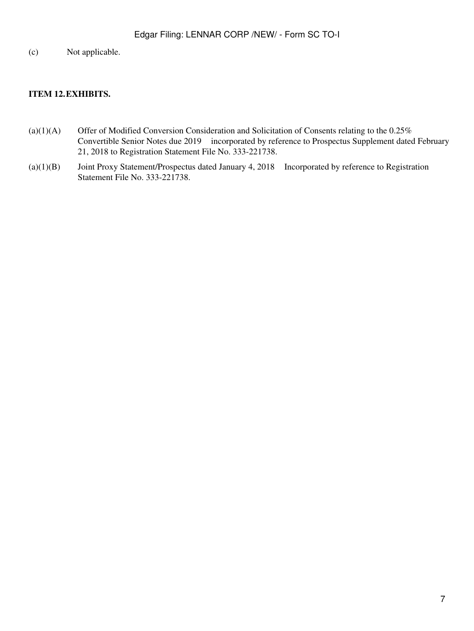(c) Not applicable.

## **ITEM 12.EXHIBITS.**

- (a)(1)(A) Offer of Modified Conversion Consideration and Solicitation of Consents relating to the 0.25% Convertible Senior Notes due 2019 incorporated by reference to Prospectus Supplement dated February 21, 2018 to Registration Statement File No. 333-221738.
- (a)(1)(B) Joint Proxy Statement/Prospectus dated January 4, 2018 Incorporated by reference to Registration Statement File No. 333-221738.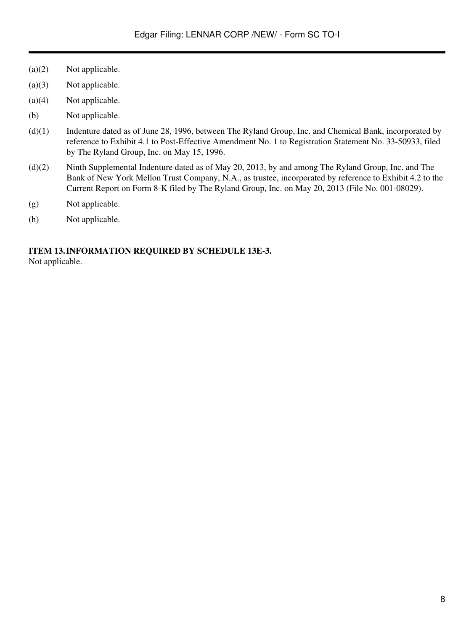- (a)(2) Not applicable.
- (a)(3) Not applicable.
- (a)(4) Not applicable.
- (b) Not applicable.
- (d)(1) Indenture dated as of June 28, 1996, between The Ryland Group, Inc. and Chemical Bank, incorporated by reference to Exhibit 4.1 to Post-Effective Amendment No. 1 to Registration Statement No. 33-50933, filed by The Ryland Group, Inc. on May 15, 1996.
- (d)(2) Ninth Supplemental Indenture dated as of May 20, 2013, by and among The Ryland Group, Inc. and The Bank of New York Mellon Trust Company, N.A., as trustee, incorporated by reference to Exhibit 4.2 to the Current Report on Form 8-K filed by The Ryland Group, Inc. on May 20, 2013 (File No. 001-08029).
- (g) Not applicable.
- (h) Not applicable.

# **ITEM 13.INFORMATION REQUIRED BY SCHEDULE 13E-3.**

Not applicable.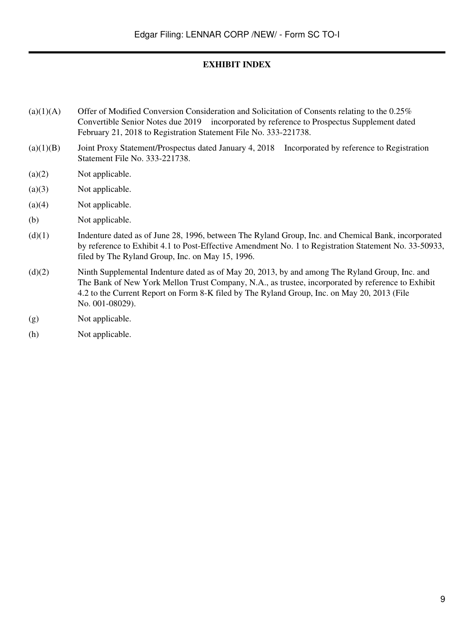### **EXHIBIT INDEX**

- (a)(1)(A) Offer of Modified Conversion Consideration and Solicitation of Consents relating to the 0.25% Convertible Senior Notes due 2019 incorporated by reference to Prospectus Supplement dated February 21, 2018 to Registration Statement File No. 333-221738.
- (a)(1)(B) Joint Proxy Statement/Prospectus dated January 4, 2018 Incorporated by reference to Registration Statement File No. 333-221738.
- (a)(2) Not applicable.
- (a)(3) Not applicable.
- (a)(4) Not applicable.
- (b) Not applicable.
- (d)(1) Indenture dated as of June 28, 1996, between The Ryland Group, Inc. and Chemical Bank, incorporated by reference to Exhibit 4.1 to Post-Effective Amendment No. 1 to Registration Statement No. 33-50933, filed by The Ryland Group, Inc. on May 15, 1996.
- (d)(2) Ninth Supplemental Indenture dated as of May 20, 2013, by and among The Ryland Group, Inc. and The Bank of New York Mellon Trust Company, N.A., as trustee, incorporated by reference to Exhibit 4.2 to the Current Report on Form 8-K filed by The Ryland Group, Inc. on May 20, 2013 (File No. 001-08029).
- (g) Not applicable.
- (h) Not applicable.